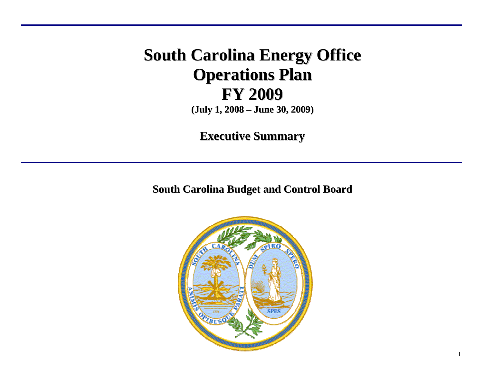# **South Carolina Energy Office Operations Plan FY 2009 (July 1, 2008 – June 30, 2009)**

**Executive Summary**

**South Carolina Budget and Control Board**

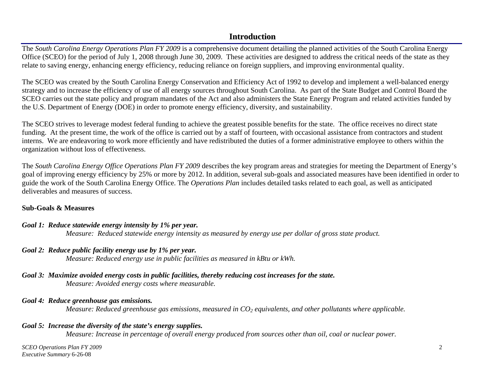# **Introduction**

The *South Carolina Energy Operations Plan FY 2009* is a comprehensive document detailing the planned activities of the South Carolina Energy Office (SCEO) for the period of July 1, 2008 through June 30, 2009. These activities are designed to address the critical needs of the state as they relate to saving energy, enhancing energy efficiency, reducing reliance on foreign suppliers, and improving environmental quality.

The SCEO was created by the South Carolina Energy Conservation and Efficiency Act of 1992 to develop and implement a well-balanced energy strategy and to increase the efficiency of use of all energy sources throughout South Carolina. As part of the State Budget and Control Board the SCEO carries out the state policy and program mandates of the Act and also administers the State Energy Program and related activities funded by the U.S. Department of Energy (DOE) in order to promote energy efficiency, diversity, and sustainability.

The SCEO strives to leverage modest federal funding to achieve the greatest possible benefits for the state. The office receives no direct state funding. At the present time, the work of the office is carried out by a staff of fourteen, with occasional assistance from contractors and student interns. We are endeavoring to work more efficiently and have redistributed the duties of a former administrative employee to others within the organization without loss of effectiveness.

The *South Carolina Energy Office Operations Plan FY 2009* describes the key program areas and strategies for meeting the Department of Energy's goal of improving energy efficiency by 25% or more by 2012. In addition, several sub-goals and associated measures have been identified in order to guide the work of the South Carolina Energy Office. The *Operations Plan* includes detailed tasks related to each goal, as well as anticipated deliverables and measures of success.

#### **Sub-Goals & Measures**

#### *Goal 1: Reduce statewide energy intensity by 1% per year.*

*Measure: Reduced statewide energy intensity as measured by energy use per dollar of gross state product.* 

#### *Goal 2: Reduce public facility energy use by 1% per year.*

*Measure: Reduced energy use in public facilities as measured in kBtu or kWh.* 

# *Goal 3: Maximize avoided energy costs in public facilities, thereby reducing cost increases for the state.*

# *Measure: Avoided energy costs where measurable.*

#### *Goal 4: Reduce greenhouse gas emissions.*

*Measure: Reduced greenhouse gas emissions, measured in CO<sub>2</sub> equivalents, and other pollutants where applicable.* 

## *Goal 5: Increase the diversity of the state's energy supplies.*

*Measure: Increase in percentage of overall energy produced from sources other than oil, coal or nuclear power.* 

*SCEO Operations Plan FY 2009* 2 *Executive Summary* 6-26-08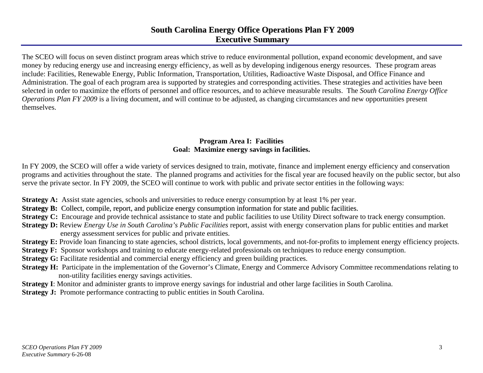# **South Carolina Energy Office Operations Plan FY 2009 Executive Summary**

The SCEO will focus on seven distinct program areas which strive to reduce environmental pollution, expand economic development, and save money by reducing energy use and increasing energy efficiency, as well as by developing indigenous energy resources. These program areas include: Facilities, Renewable Energy, Public Information, Transportation, Utilities, Radioactive Waste Disposal, and Office Finance and Administration. The goal of each program area is supported by strategies and corresponding activities. These strategies and activities have been selected in order to maximize the efforts of personnel and office resources, and to achieve measurable results. The *South Carolina Energy Office Operations Plan FY 2009* is a living document, and will continue to be adjusted, as changing circumstances and new opportunities present themselves.

#### **Program Area I: Facilities Goal: Maximize energy savings in facilities.**

In FY 2009, the SCEO will offer a wide variety of services designed to train, motivate, finance and implement energy efficiency and conservation programs and activities throughout the state. The planned programs and activities for the fiscal year are focused heavily on the public sector, but also serve the private sector. In FY 2009, the SCEO will continue to work with public and private sector entities in the following ways:

**Strategy A:** Assist state agencies, schools and universities to reduce energy consumption by at least 1% per year.

- **Strategy B:** Collect, compile, report, and publicize energy consumption information for state and public facilities.
- **Strategy C:** Encourage and provide technical assistance to state and public facilities to use Utility Direct software to track energy consumption.
- **Strategy D:** Review *Energy Use in South Carolina's Public Facilities* report, assist with energy conservation plans for public entities and market energy assessment services for public and private entities.
- **Strategy E:** Provide loan financing to state agencies, school districts, local governments, and not-for-profits to implement energy efficiency projects.
- **Strategy F:** Sponsor workshops and training to educate energy-related professionals on techniques to reduce energy consumption.
- **Strategy G:** Facilitate residential and commercial energy efficiency and green building practices.
- **Strategy H:** Participate in the implementation of the Governor's Climate, Energy and Commerce Advisory Committee recommendations relating to non-utility facilities energy savings activities.
- **Strategy I**: Monitor and administer grants to improve energy savings for industrial and other large facilities in South Carolina.
- **Strategy J:** Promote performance contracting to public entities in South Carolina.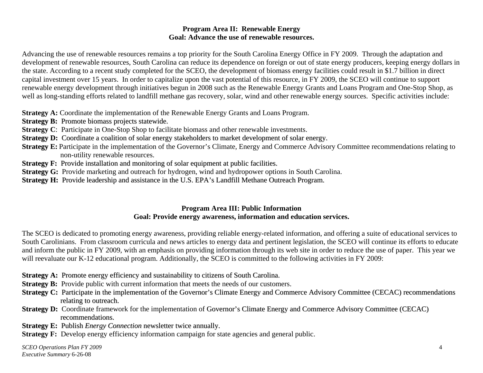#### **Program Area II: Renewable Energy Goal: Advance the use of renewable resources.**

Advancing the use of renewable resources remains a top priority for the South Carolina Energy Office in FY 2009. Through the adaptation and development of renewable resources, South Carolina can reduce its dependence on foreign or out of state energy producers, keeping energy dollars in the state. According to a recent study completed for the SCEO, the development of biomass energy facilities could result in \$1.7 billion in direct capital investment over 15 years. In order to capitalize upon the vast potential of this resource, in FY 2009, the SCEO will continue to support renewable energy development through initiatives begun in 2008 such as the Renewable Energy Grants and Loans Program and One-Stop Shop, as well as long-standing efforts related to landfill methane gas recovery, solar, wind and other renewable energy sources. Specific activities include:

**Strategy A:** Coordinate the implementation of the Renewable Energy Grants and Loans Program.

- **Strategy B:** Promote biomass projects statewide.
- **Strategy C**: Participate in One-Stop Shop to facilitate biomass and other renewable investments.
- **Strategy D:** Coordinate a coalition of solar energy stakeholders to market development of solar energy.
- **Strategy E:** Participate in the implementation of the Governor's Climate, Energy and Commerce Advisory Committee recommendations relating to non-utility renewable resources.
- **Strategy F:** Provide installation and monitoring of solar equipment at public facilities.
- **Strategy G:** Provide marketing and outreach for hydrogen, wind and hydropower options in South Carolina.
- **Strategy H:** Provide leadership and assistance in the U.S. EPA's Landfill Methane Outreach Program.

## **Program Area III: Public Information Goal: Provide energy awareness, information and education services.**

The SCEO is dedicated to promoting energy awareness, providing reliable energy-related information, and offering a suite of educational services to South Carolinians. From classroom curricula and news articles to energy data and pertinent legislation, the SCEO will continue its efforts to educate and inform the public in FY 2009, with an emphasis on providing information through its web site in order to reduce the use of paper. This year we will reevaluate our K-12 educational program. Additionally, the SCEO is committed to the following activities in FY 2009:

- **Strategy A:** Promote energy efficiency and sustainability to citizens of South Carolina.
- **Strategy B:** Provide public with current information that meets the needs of our customers.
- **Strategy C:** Participate in the implementation of the Governor's Climate Energy and Commerce Advisory Committee (CECAC) recommendations relating to outreach.
- **Strategy D:** Coordinate framework for the implementation of Governor's Climate Energy and Commerce Advisory Committee (CECAC) recommendations.
- **Strategy E:** Publish *Energy Connection* newsletter twice annually.
- **Strategy F:** Develop energy efficiency information campaign for state agencies and general public.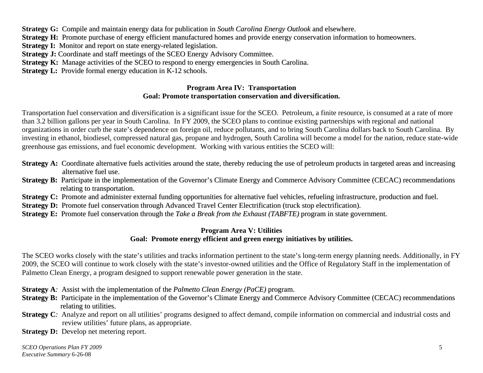**Strategy G:** Compile and maintain energy data for publication in *South Carolina Energy Outlook* and elsewhere.

**Strategy H:** Promote purchase of energy efficient manufactured homes and provide energy conservation information to homeowners.

**Strategy I:** Monitor and report on state energy-related legislation.

**Strategy J:** Coordinate and staff meetings of the SCEO Energy Advisory Committee.

**Strategy K:** Manage activities of the SCEO to respond to energy emergencies in South Carolina.

**Strategy L:** Provide formal energy education in K-12 schools.

#### **Program Area IV: Transportation Goal: Promote transportation conservation and diversification.**

Transportation fuel conservation and diversification is a significant issue for the SCEO. Petroleum, a finite resource, is consumed at a rate of more than 3.2 billion gallons per year in South Carolina. In FY 2009, the SCEO plans to continue existing partnerships with regional and national organizations in order curb the state's dependence on foreign oil, reduce pollutants, and to bring South Carolina dollars back to South Carolina. By investing in ethanol, biodiesel, compressed natural gas, propane and hydrogen, South Carolina will become a model for the nation, reduce state-wide greenhouse gas emissions, and fuel economic development. Working with various entities the SCEO will:

- **Strategy A:** Coordinate alternative fuels activities around the state, thereby reducing the use of petroleum products in targeted areas and increasing alternative fuel use.
- **Strategy B:** Participate in the implementation of the Governor's Climate Energy and Commerce Advisory Committee (CECAC) recommendations relating to transportation.
- **Strategy C:** Promote and administer external funding opportunities for alternative fuel vehicles, refueling infrastructure, production and fuel.
- **Strategy D:** Promote fuel conservation through Advanced Travel Center Electrification (truck stop electrification).
- **Strategy E:** Promote fuel conservation through the *Take <sup>a</sup> Break from the Exhaust (TABFTE)* program in state government.

#### **Program Area V: Utilities Goal: Promote energy efficient and green energy initiatives by utilities.**

The SCEO works closely with the state's utilities and tracks information pertinent to the state's long-term energy planning needs. Additionally, in FY 2009, the SCEO will continue to work closely with the state's investor-owned utilities and the Office of Regulatory Staff in the implementation of Palmetto Clean Energy, a program designed to support renewable power generation in the state.

**Strategy A***:* Assist with the implementation of the *Palmetto Clean Energy (PaCE)* program.

- **Strategy B:** Participate in the implementation of the Governor's Climate Energy and Commerce Advisory Committee (CECAC) recommendations relating to utilities.
- **Strategy C**: Analyze and report on all utilities' programs designed to affect demand, compile information on commercial and industrial costs and review utilities' future plans, as appropriate.

**Strategy D:** Develop net metering report.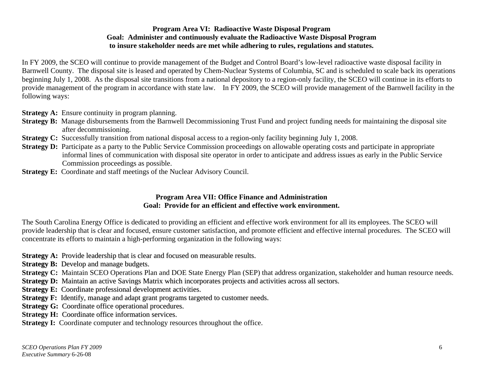#### **Program Area VI: Radioactive Waste Disposal Program Goal: Administer and continuously evaluate the Radioactive Waste Disposal Program to insure stakeholder needs are met while adhering to rules, regulations and statutes.**

In FY 2009, the SCEO will continue to provide management of the Budget and Control Board's low-level radioactive waste disposal facility in Barnwell County. The disposal site is leased and operated by Chem-Nuclear Systems of Columbia, SC and is scheduled to scale back its operations beginning July 1, 2008. As the disposal site transitions from a national depository to a region-only facility, the SCEO will continue in its efforts to provide management of the program in accordance with state law. In FY 2009, the SCEO will provide management of the Barnwell facility in the following ways:

**Strategy A:** Ensure continuity in program planning.

- **Strategy B:** Manage disbursements from the Barnwell Decommissioning Trust Fund and project funding needs for maintaining the disposal site after decommissioning.
- **Strategy C:** Successfully transition from national disposal access to a region-only facility beginning July 1, 2008.
- **Strategy D:** Participate as a party to the Public Service Commission proceedings on allowable operating costs and participate in appropriate informal lines of communication with disposal site operator in order to anticipate and address issues as early in the Public Service Commission proceedings as possible.
- **Strategy E:** Coordinate and staff meetings of the Nuclear Advisory Council.

#### **Program Area VII: Office Finance and Administration Goal: Provide for an efficient and effective work environment.**

The South Carolina Energy Office is dedicated to providing an efficient and effective work environment for all its employees. The SCEO will provide leadership that is clear and focused, ensure customer satisfaction, and promote efficient and effective internal procedures. The SCEO will concentrate its efforts to maintain a high-performing organization in the following ways:

- **Strategy A:** Provide leadership that is clear and focused on measurable results.
- **Strategy B:** Develop and manage budgets.
- **Strategy C:** Maintain SCEO Operations Plan and DOE State Energy Plan (SEP) that address organization, stakeholder and human resource needs.
- **Strategy D:** Maintain an active Savings Matrix which incorporates projects and activities across all sectors.
- **Strategy E:** Coordinate professional development activities.
- **Strategy F:** Identify, manage and adapt gran<sup>t</sup> programs targeted to customer needs.
- **Strategy G:** Coordinate office operational procedures.
- **Strategy H:** Coordinate office information services.
- **Strategy I:** Coordinate computer and technology resources throughout the office.